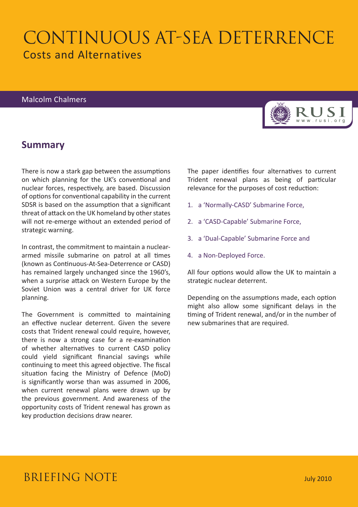# CONTINUOUS AT-SEA DETERRENCE Costs and Alternatives

### Malcolm Chalmers

## **Summary**

There is now a stark gap between the assumptions on which planning for the UK's conventional and nuclear forces, respectively, are based. Discussion of options for conventional capability in the current SDSR is based on the assumption that a significant threat of attack on the UK homeland by other states will not re-emerge without an extended period of strategic warning.

In contrast, the commitment to maintain a nucleararmed missile submarine on patrol at all times (known as Continuous-At-Sea-Deterrence or CASD) has remained largely unchanged since the 1960's, when a surprise attack on Western Europe by the Soviet Union was a central driver for UK force planning.

The Government is committed to maintaining an effective nuclear deterrent. Given the severe costs that Trident renewal could require, however, there is now a strong case for a re-examination of whether alternatives to current CASD policy could yield significant financial savings while continuing to meet this agreed objective. The fiscal situation facing the Ministry of Defence (MoD) is significantly worse than was assumed in 2006, when current renewal plans were drawn up by the previous government. And awareness of the opportunity costs of Trident renewal has grown as key production decisions draw nearer.

The paper identifies four alternatives to current Trident renewal plans as being of particular relevance for the purposes of cost reduction:

- 1. a 'Normally-CASD' Submarine Force,
- 2. a 'CASD-Capable' Submarine Force,
- 3. a 'Dual-Capable' Submarine Force and
- 4. a Non-Deployed Force.

All four options would allow the UK to maintain a strategic nuclear deterrent.

Depending on the assumptions made, each option might also allow some significant delays in the timing of Trident renewal, and/or in the number of new submarines that are required.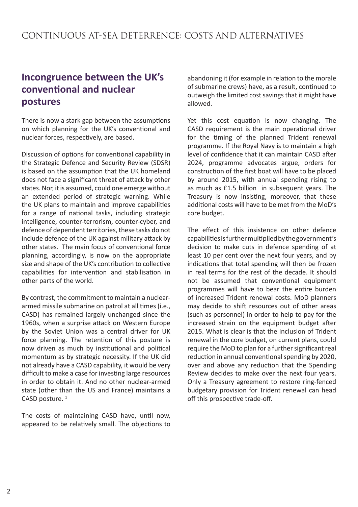## **Incongruence between the UK's conventional and nuclear postures**

There is now a stark gap between the assumptions on which planning for the UK's conventional and nuclear forces, respectively, are based.

Discussion of options for conventional capability in the Strategic Defence and Security Review (SDSR) is based on the assumption that the UK homeland does not face a significant threat of attack by other states. Nor, it is assumed, could one emerge without an extended period of strategic warning. While the UK plans to maintain and improve capabilities for a range of national tasks, including strategic intelligence, counter-terrorism, counter-cyber, and defence of dependent territories, these tasks do not include defence of the UK against military attack by other states. The main focus of conventional force planning, accordingly, is now on the appropriate size and shape of the UK's contribution to collective capabilities for intervention and stabilisation in other parts of the world.

By contrast, the commitment to maintain a nucleararmed missile submarine on patrol at all times (i.e., CASD) has remained largely unchanged since the 1960s, when a surprise attack on Western Europe by the Soviet Union was a central driver for UK force planning. The retention of this posture is now driven as much by institutional and political momentum as by strategic necessity. If the UK did not already have a CASD capability, it would be very difficult to make a case for investing large resources in order to obtain it. And no other nuclear-armed state (other than the US and France) maintains a CASD posture.<sup>1</sup>

The costs of maintaining CASD have, until now, appeared to be relatively small. The objections to

abandoning it (for example in relation to the morale of submarine crews) have, as a result, continued to outweigh the limited cost savings that it might have allowed.

Yet this cost equation is now changing. The CASD requirement is the main operational driver for the timing of the planned Trident renewal programme. If the Royal Navy is to maintain a high level of confidence that it can maintain CASD after 2024, programme advocates argue, orders for construction of the first boat will have to be placed by around 2015, with annual spending rising to as much as £1.5 billion in subsequent years. The Treasury is now insisting, moreover, that these additional costs will have to be met from the MoD's core budget.

The effect of this insistence on other defence capabilities is further multiplied by the government's decision to make cuts in defence spending of at least 10 per cent over the next four years, and by indications that total spending will then be frozen in real terms for the rest of the decade. It should not be assumed that conventional equipment programmes will have to bear the entire burden of increased Trident renewal costs. MoD planners may decide to shift resources out of other areas (such as personnel) in order to help to pay for the increased strain on the equipment budget after 2015. What is clear is that the inclusion of Trident renewal in the core budget, on current plans, could require the MoD to plan for a further significant real reduction in annual conventional spending by 2020, over and above any reduction that the Spending Review decides to make over the next four years. Only a Treasury agreement to restore ring-fenced budgetary provision for Trident renewal can head off this prospective trade-off.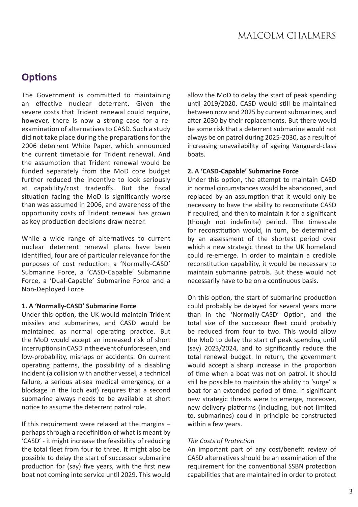## **Options**

The Government is committed to maintaining an effective nuclear deterrent. Given the severe costs that Trident renewal could require, however, there is now a strong case for a reexamination of alternatives to CASD. Such a study did not take place during the preparations for the 2006 deterrent White Paper, which announced the current timetable for Trident renewal. And the assumption that Trident renewal would be funded separately from the MoD core budget further reduced the incentive to look seriously at capability/cost tradeoffs. But the fiscal situation facing the MoD is significantly worse than was assumed in 2006, and awareness of the opportunity costs of Trident renewal has grown as key production decisions draw nearer.

While a wide range of alternatives to current nuclear deterrent renewal plans have been identified, four are of particular relevance for the purposes of cost reduction: a 'Normally-CASD' Submarine Force, a 'CASD-Capable' Submarine Force, a 'Dual-Capable' Submarine Force and a Non-Deployed Force.

#### **1. A 'Normally-CASD' Submarine Force**

Under this option, the UK would maintain Trident missiles and submarines, and CASD would be maintained as normal operating practice. But the MoD would accept an increased risk of short interruptions in CASD in the event of unforeseen, and low-probability, mishaps or accidents. On current operating patterns, the possibility of a disabling incident (a collision with another vessel, a technical failure, a serious at-sea medical emergency, or a blockage in the loch exit) requires that a second submarine always needs to be available at short notice to assume the deterrent patrol role.

If this requirement were relaxed at the margins – perhaps through a redefinition of what is meant by 'CASD' - it might increase the feasibility of reducing the total fleet from four to three. It might also be possible to delay the start of successor submarine production for (say) five years, with the first new boat not coming into service until 2029. This would allow the MoD to delay the start of peak spending until 2019/2020. CASD would still be maintained between now and 2025 by current submarines, and after 2030 by their replacements. But there would be some risk that a deterrent submarine would not always be on patrol during 2025-2030, as a result of increasing unavailability of ageing Vanguard-class boats.

#### **2. A 'CASD-Capable' Submarine Force**

Under this option, the attempt to maintain CASD in normal circumstances would be abandoned, and replaced by an assumption that it would only be necessary to have the ability to reconstitute CASD if required, and then to maintain it for a significant (though not indefinite) period. The timescale for reconstitution would, in turn, be determined by an assessment of the shortest period over which a new strategic threat to the UK homeland could re-emerge. In order to maintain a credible reconstitution capability, it would be necessary to maintain submarine patrols. But these would not necessarily have to be on a continuous basis.

On this option, the start of submarine production could probably be delayed for several years more than in the 'Normally-CASD' Option, and the total size of the successor fleet could probably be reduced from four to two. This would allow the MoD to delay the start of peak spending until (say) 2023/2024, and to significantly reduce the total renewal budget. In return, the government would accept a sharp increase in the proportion of time when a boat was not on patrol. It should still be possible to maintain the ability to 'surge' a boat for an extended period of time. If significant new strategic threats were to emerge, moreover, new delivery platforms (including, but not limited to, submarines) could in principle be constructed within a few years.

#### *The Costs of Protection*

An important part of any cost/benefit review of CASD alternatives should be an examination of the requirement for the conventional SSBN protection capabilities that are maintained in order to protect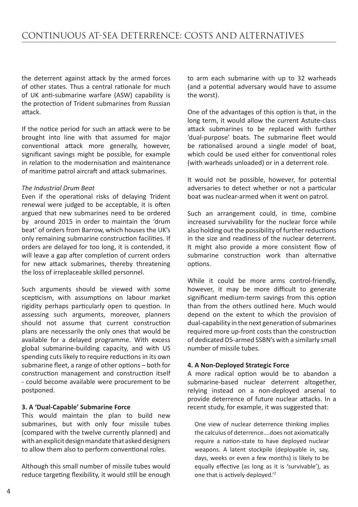the deterrent against attack by the armed forces of other states. Thus a central rationale for much of UK anti-submarine warfare (ASW) capability is the protection of Trident submarines from Russian attack.

If the notice period for such an attack were to be brought into line with that assumed for major conventional attack more generally, however, significant savings might be possible, for example in relation to the modernisation and maintenance of maritime patrol aircraft and attack submarines.

#### *The Industrial Drum Beat*

Even if the operational risks of delaying Trident renewal were judged to be acceptable, it is often argued that new submarines need to be ordered by around 2015 in order to maintain the 'drum beat' of orders from Barrow, which houses the UK's only remaining submarine construction facilities. If orders are delayed for too long, it is contended, it will leave a gap after completion of current orders for new attack submarines, thereby threatening the loss of irreplaceable skilled personnel.

Such arguments should be viewed with some scepticism, with assumptions on labour market rigidity perhaps particularly open to question. In assessing such arguments, moreover, planners should not assume that current construction plans are necessarily the only ones that would be available for a delayed programme. With excess global submarine-building capacity, and with US spending cuts likely to require reductions in its own submarine fleet, a range of other options – both for construction management and construction itself - could become available were procurement to be postponed.

#### **3. A 'Dual-Capable' Submarine Force**

This would maintain the plan to build new submarines, but with only four missile tubes (compared with the twelve currently planned) and with an explicit design mandate that asked designers to allow them also to perform conventional roles.

Although this small number of missile tubes would reduce targeting flexibility, it would still be enough to arm each submarine with up to 32 warheads (and a potential adversary would have to assume the worst).

One of the advantages of this option is that, in the long term, it would allow the current Astute-class attack submarines to be replaced with further 'dual-purpose' boats. The submarine fleet would be rationalised around a single model of boat, which could be used either for conventional roles (with warheads unloaded) or in a deterrent role.

It would not be possible, however, for potential adversaries to detect whether or not a particular boat was nuclear-armed when it went on patrol.

Such an arrangement could, in time, combine increased survivability for the nuclear force while also holding out the possibility of further reductions in the size and readiness of the nuclear deterrent. It might also provide a more consistent flow of submarine construction work than alternative options.

While it could be more arms control-friendly, however, it may be more difficult to generate significant medium-term savings from this option than from the others outlined here. Much would depend on the extent to which the provision of dual-capability in the next generation of submarines required more up-front costs than the construction of dedicated D5-armed SSBN's with a similarly small number of missile tubes.

#### **4. A Non-Deployed Strategic Force**

A more radical option would be to abandon a submarine-based nuclear deterrent altogether, relying instead on a non-deployed arsenal to provide deterrence of future nuclear attacks. In a recent study, for example, it was suggested that:

One view of nuclear deterrence thinking implies the calculus of deterrence….does not axiomatically require a nation-state to have deployed nuclear weapons. A latent stockpile (deployable in, say, days, weeks or even a few months) is likely to be equally effective (as long as it is 'survivable'), as one that is actively deployed.'2